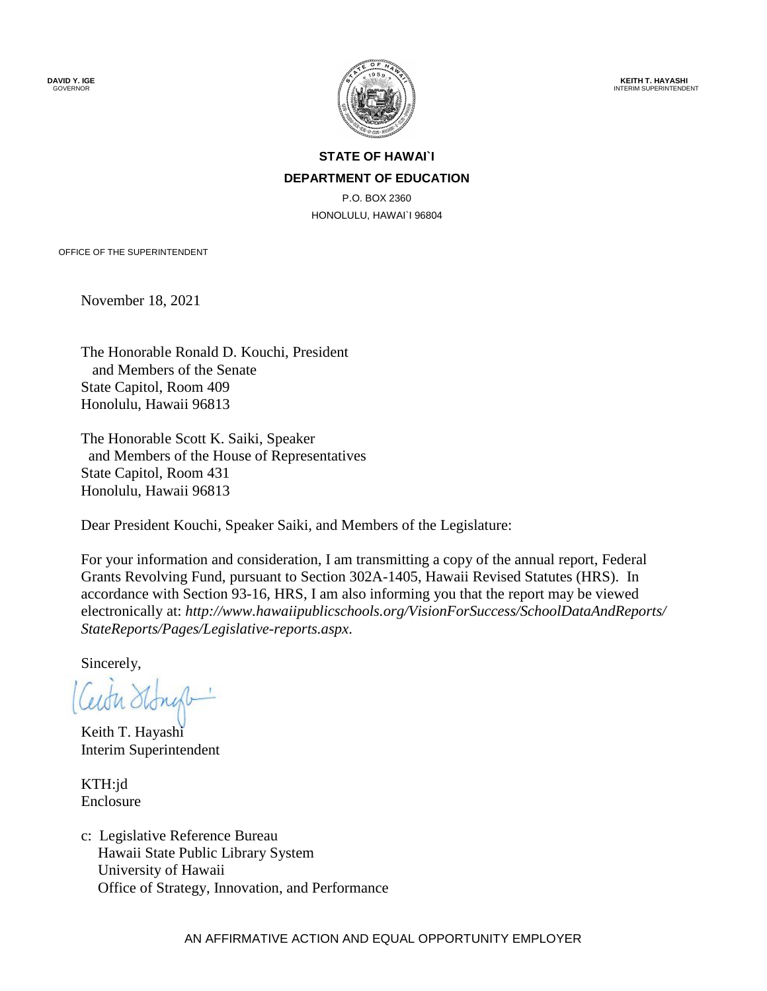**DAVID Y. IGE** GOVERNOR



 **KEITH T. HAYASHI** INTERIM SUPERINTENDENT

#### **STATE OF HAWAI`I DEPARTMENT OF EDUCATION**

P.O. BOX 2360 HONOLULU, HAWAI`I 96804

OFFICE OF THE SUPERINTENDENT

November 18, 2021

The Honorable Ronald D. Kouchi, President and Members of the Senate State Capitol, Room 409 Honolulu, Hawaii 96813

The Honorable Scott K. Saiki, Speaker and Members of the House of Representatives State Capitol, Room 431 Honolulu, Hawaii 96813

Dear President Kouchi, Speaker Saiki, and Members of the Legislature:

For your information and consideration, I am transmitting a copy of the annual report, Federal Grants Revolving Fund, pursuant to Section 302A-1405, Hawaii Revised Statutes (HRS). In accordance with Section 93-16, HRS, I am also informing you that the report may be viewed electronically at: *[http://www.hawaiipublicschools.org/VisionForSuccess/SchoolDataAndReports/](http://www.hawaiipublicschools.org/VisionForSuccess/SchoolDataAndReports/StateReports/Pages/Legislative-reports.aspx)  [StateReports/Pages/Legislative-reports.aspx](http://www.hawaiipublicschools.org/VisionForSuccess/SchoolDataAndReports/StateReports/Pages/Legislative-reports.aspx)*.

Sincerely,

Ceith Stongt

Keith T. Hayashi Interim Superintendent

KTH:jd Enclosure

c: Legislative Reference Bureau Hawaii State Public Library System University of Hawaii Office of Strategy, Innovation, and Performance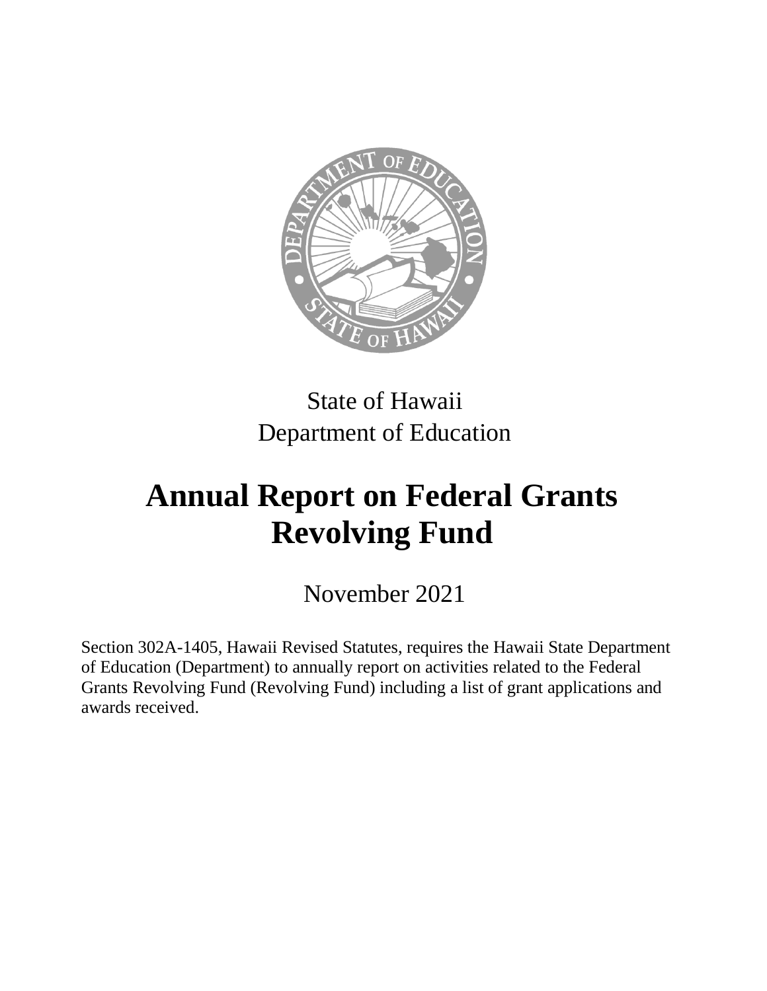

# State of Hawaii Department of Education

# **Annual Report on Federal Grants Revolving Fund**

November 2021

Section 302A-1405, Hawaii Revised Statutes, requires the Hawaii State Department of Education (Department) to annually report on activities related to the Federal Grants Revolving Fund (Revolving Fund) including a list of grant applications and awards received.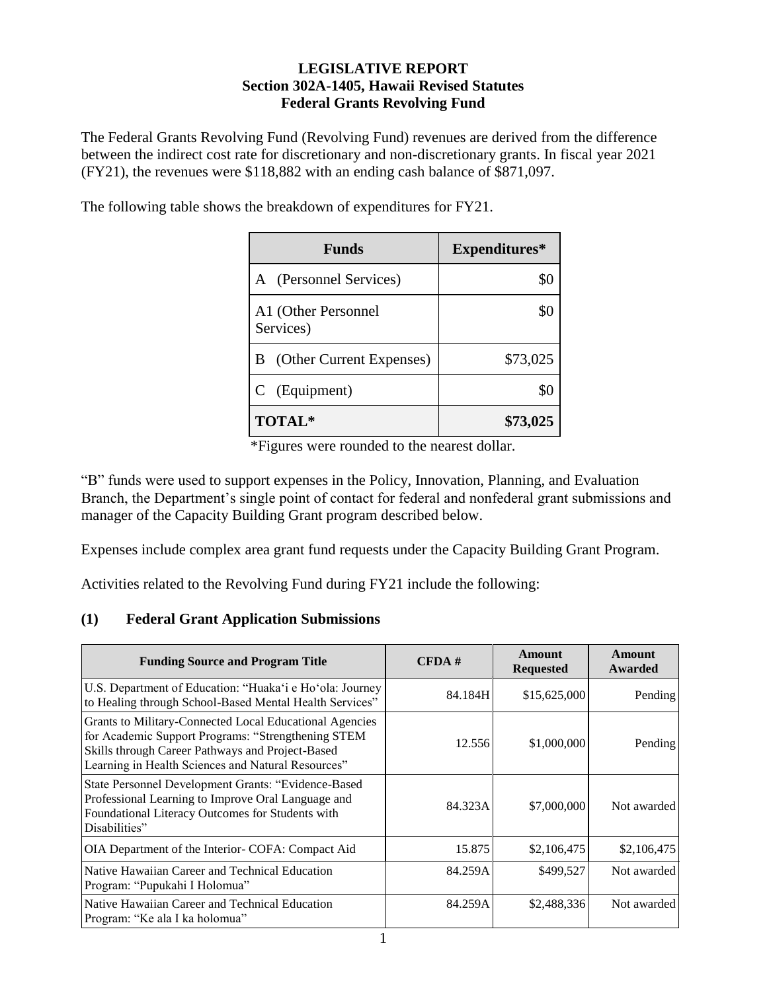#### **LEGISLATIVE REPORT Section 302A-1405, Hawaii Revised Statutes Federal Grants Revolving Fund**

The Federal Grants Revolving Fund (Revolving Fund) revenues are derived from the difference between the indirect cost rate for discretionary and non-discretionary grants. In fiscal year 2021 (FY21), the revenues were \$118,882 with an ending cash balance of \$871,097.

The following table shows the breakdown of expenditures for FY21.

| Funds                            | Expenditures* |
|----------------------------------|---------------|
| A (Personnel Services)           |               |
| A1 (Other Personnel<br>Services) |               |
| (Other Current Expenses)<br>В    | \$73,025      |
| C (Equipment)                    |               |
| <b>TOTAL*</b>                    | \$73,025      |

\*Figures were rounded to the nearest dollar.

"B" funds were used to support expenses in the Policy, Innovation, Planning, and Evaluation Branch, the Department's single point of contact for federal and nonfederal grant submissions and manager of the Capacity Building Grant program described below.

Expenses include complex area grant fund requests under the Capacity Building Grant Program.

Activities related to the Revolving Fund during FY21 include the following:

# **(1) Federal Grant Application Submissions**

| <b>Funding Source and Program Title</b>                                                                                                                                                                                 | CFDA#   | Amount<br><b>Requested</b> | Amount<br>Awarded |
|-------------------------------------------------------------------------------------------------------------------------------------------------------------------------------------------------------------------------|---------|----------------------------|-------------------|
| U.S. Department of Education: "Huaka'i e Ho'ola: Journey<br>to Healing through School-Based Mental Health Services"                                                                                                     | 84.184H | \$15,625,000               | Pending           |
| Grants to Military-Connected Local Educational Agencies<br>for Academic Support Programs: "Strengthening STEM<br>Skills through Career Pathways and Project-Based<br>Learning in Health Sciences and Natural Resources" | 12.556  | \$1,000,000                | Pending           |
| State Personnel Development Grants: "Evidence-Based<br>Professional Learning to Improve Oral Language and<br>Foundational Literacy Outcomes for Students with<br>Disabilities"                                          | 84.323A | \$7,000,000                | Not awarded       |
| OIA Department of the Interior-COFA: Compact Aid                                                                                                                                                                        | 15.875  | \$2,106,475                | \$2,106,475       |
| Native Hawaiian Career and Technical Education<br>Program: "Pupukahi I Holomua"                                                                                                                                         | 84.259A | \$499,527                  | Not awarded       |
| Native Hawaiian Career and Technical Education<br>Program: "Ke ala I ka holomua"                                                                                                                                        | 84.259A | \$2,488,336                | Not awarded       |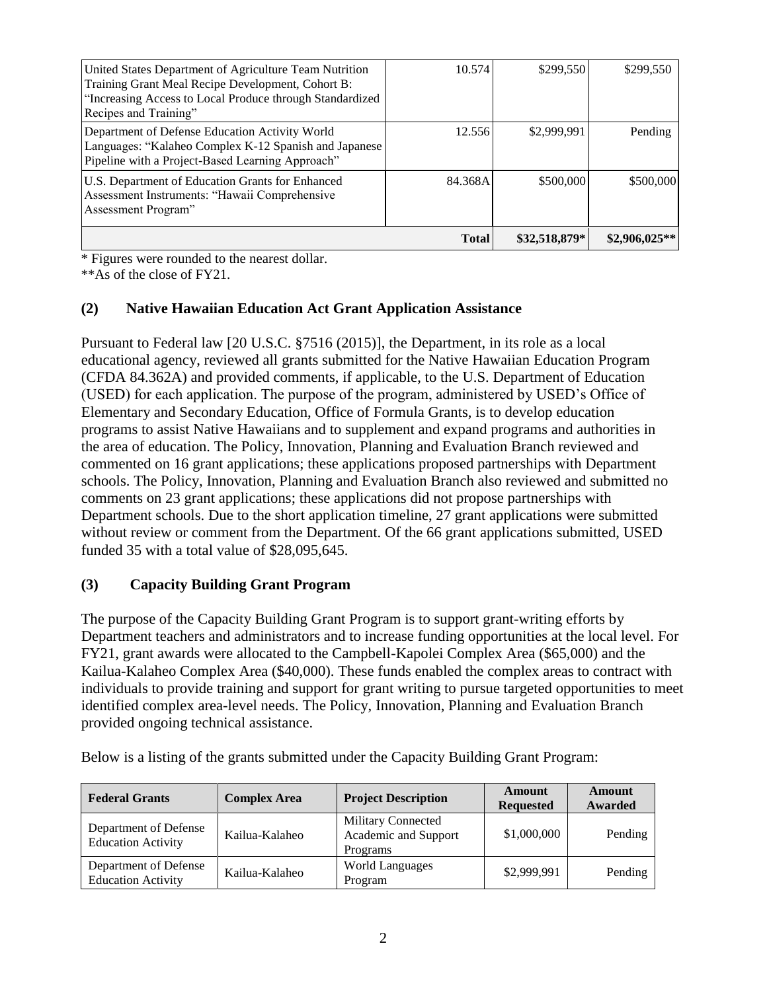|                                                                                                                                                                                                  | <b>Total</b> | \$32,518,879* | $$2,906,025**$ |
|--------------------------------------------------------------------------------------------------------------------------------------------------------------------------------------------------|--------------|---------------|----------------|
| U.S. Department of Education Grants for Enhanced<br>Assessment Instruments: "Hawaii Comprehensive<br>Assessment Program"                                                                         | 84.368A      | \$500,000     | \$500,000      |
| Department of Defense Education Activity World<br>Languages: "Kalaheo Complex K-12 Spanish and Japanese<br>Pipeline with a Project-Based Learning Approach"                                      | 12.556       | \$2,999,991   | Pending        |
| United States Department of Agriculture Team Nutrition<br>Training Grant Meal Recipe Development, Cohort B:<br>"Increasing Access to Local Produce through Standardized<br>Recipes and Training" | 10.574       | \$299,550     | \$299,550      |

\* Figures were rounded to the nearest dollar.

\*\*As of the close of FY21.

### **(2) Native Hawaiian Education Act Grant Application Assistance**

Pursuant to Federal law [20 U.S.C. §7516 (2015)], the Department, in its role as a local educational agency, reviewed all grants submitted for the Native Hawaiian Education Program (CFDA 84.362A) and provided comments, if applicable, to the U.S. Department of Education (USED) for each application. The purpose of the program, administered by USED's Office of Elementary and Secondary Education, Office of Formula Grants, is to develop education programs to assist Native Hawaiians and to supplement and expand programs and authorities in the area of education. The Policy, Innovation, Planning and Evaluation Branch reviewed and commented on 16 grant applications; these applications proposed partnerships with Department schools. The Policy, Innovation, Planning and Evaluation Branch also reviewed and submitted no comments on 23 grant applications; these applications did not propose partnerships with Department schools. Due to the short application timeline, 27 grant applications were submitted without review or comment from the Department. Of the 66 grant applications submitted, USED funded 35 with a total value of \$28,095,645.

# **(3) Capacity Building Grant Program**

The purpose of the Capacity Building Grant Program is to support grant-writing efforts by Department teachers and administrators and to increase funding opportunities at the local level. For FY21, grant awards were allocated to the Campbell-Kapolei Complex Area (\$65,000) and the Kailua-Kalaheo Complex Area (\$40,000). These funds enabled the complex areas to contract with individuals to provide training and support for grant writing to pursue targeted opportunities to meet identified complex area-level needs. The Policy, Innovation, Planning and Evaluation Branch provided ongoing technical assistance.

| Below is a listing of the grants submitted under the Capacity Building Grant Program: |  |  |
|---------------------------------------------------------------------------------------|--|--|
|---------------------------------------------------------------------------------------|--|--|

| <b>Federal Grants</b>                              | <b>Complex Area</b> | <b>Project Description</b>                             | Amount<br><b>Requested</b> | Amount<br>Awarded |
|----------------------------------------------------|---------------------|--------------------------------------------------------|----------------------------|-------------------|
| Department of Defense<br><b>Education Activity</b> | Kailua-Kalaheo      | Military Connected<br>Academic and Support<br>Programs | \$1,000,000                | Pending           |
| Department of Defense<br><b>Education Activity</b> | Kailua-Kalaheo      | <b>World Languages</b><br>Program                      | \$2,999,991                | Pending           |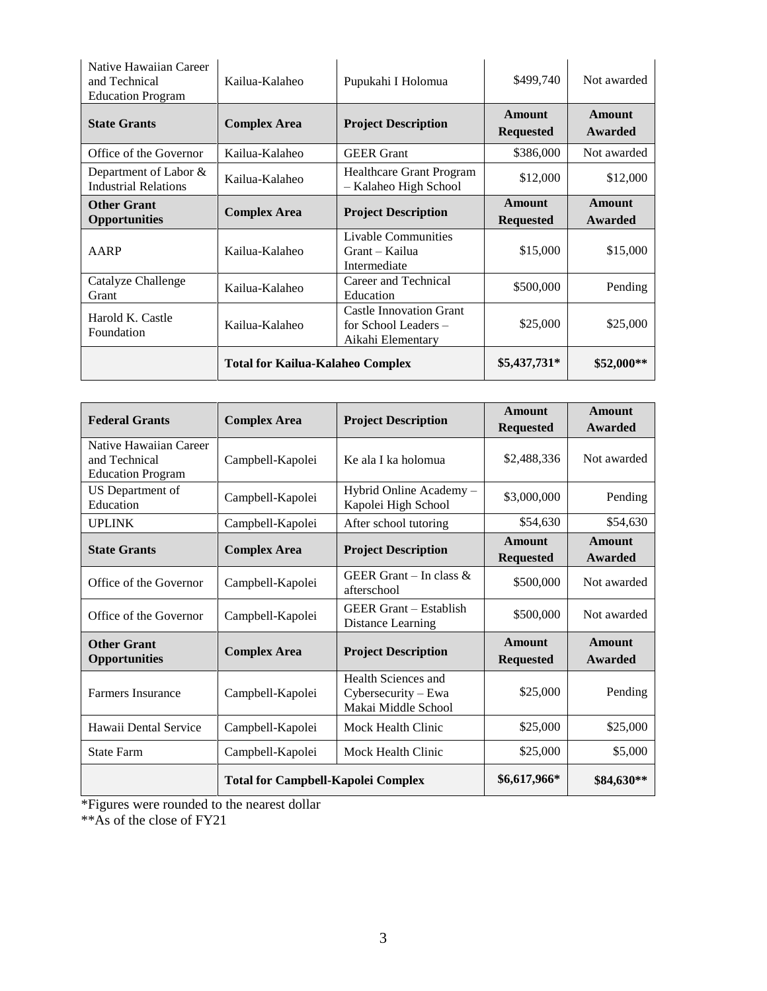| Native Hawaiian Career<br>and Technical<br><b>Education Program</b> | Kailua-Kalaheo                          | Pupukahi I Holomua                                                            | \$499,740                  | Not awarded       |
|---------------------------------------------------------------------|-----------------------------------------|-------------------------------------------------------------------------------|----------------------------|-------------------|
| <b>State Grants</b>                                                 | <b>Complex Area</b>                     | <b>Project Description</b>                                                    | Amount<br><b>Requested</b> | Amount<br>Awarded |
| Office of the Governor                                              | Kailua-Kalaheo                          | <b>GEER</b> Grant                                                             | \$386,000                  | Not awarded       |
| Department of Labor &<br><b>Industrial Relations</b>                | Kailua-Kalaheo                          | <b>Healthcare Grant Program</b><br>- Kalaheo High School                      | \$12,000                   | \$12,000          |
| <b>Other Grant</b><br><b>Opportunities</b>                          | <b>Complex Area</b>                     | <b>Project Description</b>                                                    | Amount<br><b>Requested</b> | Amount<br>Awarded |
| AARP                                                                | Kailua-Kalaheo                          | Livable Communities<br>Grant – Kailua<br>Intermediate                         | \$15,000                   | \$15,000          |
| Catalyze Challenge<br>Grant                                         | Kailua-Kalaheo                          | Career and Technical<br>Education                                             | \$500,000                  | Pending           |
| Harold K. Castle<br>Foundation                                      | Kailua-Kalaheo                          | <b>Castle Innovation Grant</b><br>for School Leaders $-$<br>Aikahi Elementary | \$25,000                   | \$25,000          |
|                                                                     | <b>Total for Kailua-Kalaheo Complex</b> |                                                                               | \$5,437,731*               | $$52,000**$       |

| <b>Federal Grants</b>                                               | <b>Complex Area</b>                       | <b>Project Description</b>                                        | <b>Amount</b><br><b>Requested</b> | <b>Amount</b><br>Awarded |
|---------------------------------------------------------------------|-------------------------------------------|-------------------------------------------------------------------|-----------------------------------|--------------------------|
| Native Hawaiian Career<br>and Technical<br><b>Education Program</b> | Campbell-Kapolei                          | Ke ala I ka holomua                                               | \$2,488,336                       | Not awarded              |
| <b>US</b> Department of<br>Education                                | Campbell-Kapolei                          | Hybrid Online Academy -<br>Kapolei High School                    | \$3,000,000                       | Pending                  |
| <b>UPLINK</b>                                                       | Campbell-Kapolei                          | After school tutoring                                             | \$54,630                          | \$54,630                 |
| <b>State Grants</b>                                                 | <b>Complex Area</b>                       | <b>Project Description</b>                                        | Amount<br><b>Requested</b>        | Amount<br>Awarded        |
| Office of the Governor                                              | Campbell-Kapolei                          | GEER Grant – In class $\&$<br>afterschool                         | \$500,000                         | Not awarded              |
| Office of the Governor                                              | Campbell-Kapolei                          | <b>GEER Grant</b> – Establish<br>Distance Learning                | \$500,000                         | Not awarded              |
| <b>Other Grant</b><br><b>Opportunities</b>                          | <b>Complex Area</b>                       | <b>Project Description</b>                                        | <b>Amount</b><br><b>Requested</b> | <b>Amount</b><br>Awarded |
| <b>Farmers Insurance</b>                                            | Campbell-Kapolei                          | Health Sciences and<br>Cybersecurity – Ewa<br>Makai Middle School | \$25,000                          | Pending                  |
| Hawaii Dental Service                                               | Campbell-Kapolei                          | Mock Health Clinic                                                | \$25,000                          | \$25,000                 |
| <b>State Farm</b>                                                   | Campbell-Kapolei                          | Mock Health Clinic                                                | \$25,000                          | \$5,000                  |
|                                                                     | <b>Total for Campbell-Kapolei Complex</b> |                                                                   | \$6,617,966*                      | \$84,630**               |

\*Figures were rounded to the nearest dollar

\*\*As of the close of FY21